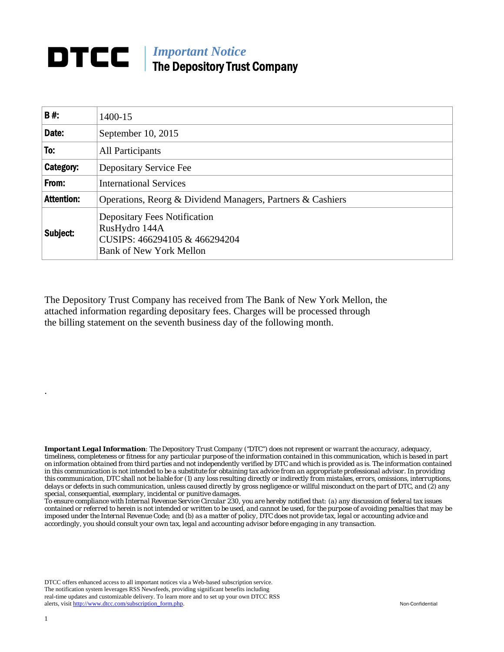## *Important Notice*  The Depository Trust Company

| B#:               | 1400-15                                                                                                                 |
|-------------------|-------------------------------------------------------------------------------------------------------------------------|
| Date:             | September 10, 2015                                                                                                      |
| To:               | All Participants                                                                                                        |
| Category:         | Depositary Service Fee                                                                                                  |
| From:             | <b>International Services</b>                                                                                           |
| <b>Attention:</b> | Operations, Reorg & Dividend Managers, Partners & Cashiers                                                              |
| Subject:          | <b>Depositary Fees Notification</b><br>RusHydro 144A<br>CUSIPS: 466294105 & 466294204<br><b>Bank of New York Mellon</b> |

The Depository Trust Company has received from The Bank of New York Mellon, the attached information regarding depositary fees. Charges will be processed through the billing statement on the seventh business day of the following month.

*Important Legal Information: The Depository Trust Company ("DTC") does not represent or warrant the accuracy, adequacy, timeliness, completeness or fitness for any particular purpose of the information contained in this communication, which is based in part on information obtained from third parties and not independently verified by DTC and which is provided as is. The information contained in this communication is not intended to be a substitute for obtaining tax advice from an appropriate professional advisor. In providing this communication, DTC shall not be liable for (1) any loss resulting directly or indirectly from mistakes, errors, omissions, interruptions, delays or defects in such communication, unless caused directly by gross negligence or willful misconduct on the part of DTC, and (2) any special, consequential, exemplary, incidental or punitive damages.* 

*To ensure compliance with Internal Revenue Service Circular 230, you are hereby notified that: (a) any discussion of federal tax issues contained or referred to herein is not intended or written to be used, and cannot be used, for the purpose of avoiding penalties that may be imposed under the Internal Revenue Code; and (b) as a matter of policy, DTC does not provide tax, legal or accounting advice and accordingly, you should consult your own tax, legal and accounting advisor before engaging in any transaction.*

DTCC offers enhanced access to all important notices via a Web-based subscription service. The notification system leverages RSS Newsfeeds, providing significant benefits including real-time updates and customizable delivery. To learn more and to set up your own DTCC RSS alerts, visit http://www.dtcc.com/subscription\_form.php. Non-Confidential

.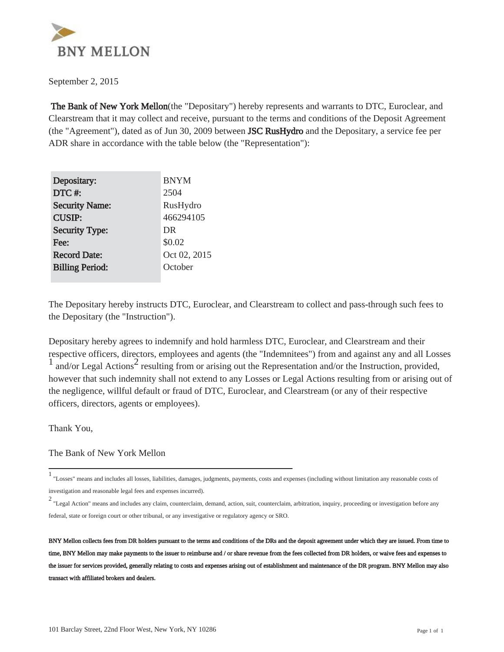

September 2, 2015

 The Bank of New York Mellon(the "Depositary") hereby represents and warrants to DTC, Euroclear, and Clearstream that it may collect and receive, pursuant to the terms and conditions of the Deposit Agreement (the "Agreement"), dated as of Jun 30, 2009 between JSC RusHydro and the Depositary, a service fee per ADR share in accordance with the table below (the "Representation"):

| Depositary:            | <b>BNYM</b>  |
|------------------------|--------------|
| DTC#:                  | 2504         |
| <b>Security Name:</b>  | RusHydro     |
| <b>CUSIP:</b>          | 466294105    |
| <b>Security Type:</b>  | DR           |
| Fee:                   | \$0.02       |
| <b>Record Date:</b>    | Oct 02, 2015 |
| <b>Billing Period:</b> | October      |
|                        |              |

The Depositary hereby instructs DTC, Euroclear, and Clearstream to collect and pass-through such fees to the Depositary (the "Instruction").

Depositary hereby agrees to indemnify and hold harmless DTC, Euroclear, and Clearstream and their respective officers, directors, employees and agents (the "Indemnitees") from and against any and all Losses  $\frac{1}{1}$  and/or Legal Actions<sup>2</sup> resulting from or arising out the Representation and/or the Instruction, provided, however that such indemnity shall not extend to any Losses or Legal Actions resulting from or arising out of the negligence, willful default or fraud of DTC, Euroclear, and Clearstream (or any of their respective officers, directors, agents or employees).

Thank You,

The Bank of New York Mellon

<sup>1</sup> "Losses" means and includes all losses, liabilities, damages, judgments, payments, costs and expenses (including without limitation any reasonable costs of investigation and reasonable legal fees and expenses incurred).

<sup>2</sup> "Legal Action" means and includes any claim, counterclaim, demand, action, suit, counterclaim, arbitration, inquiry, proceeding or investigation before any federal, state or foreign court or other tribunal, or any investigative or regulatory agency or SRO.

BNY Mellon collects fees from DR holders pursuant to the terms and conditions of the DRs and the deposit agreement under which they are issued. From time to time, BNY Mellon may make payments to the issuer to reimburse and / or share revenue from the fees collected from DR holders, or waive fees and expenses to the issuer for services provided, generally relating to costs and expenses arising out of establishment and maintenance of the DR program. BNY Mellon may also transact with affiliated brokers and dealers.